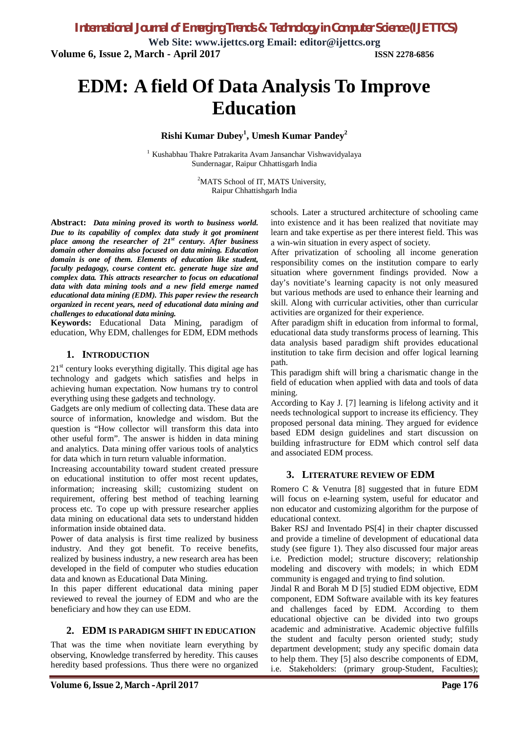**Web Site: www.ijettcs.org Email: editor@ijettcs.org Volume 6, Issue 2, March - April 2017 ISSN 2278-6856**

# **EDM: A field Of Data Analysis To Improve Education**

### **Rishi Kumar Dubey<sup>1</sup> , Umesh Kumar Pandey<sup>2</sup>**

<sup>1</sup> Kushabhau Thakre Patrakarita Avam Jansanchar Vishwavidyalaya Sundernagar, Raipur Chhattisgarh India

> <sup>2</sup>MATS School of IT, MATS University, Raipur Chhattishgarh India

**Abstract:** *Data mining proved its worth to business world. Due to its capability of complex data study it got prominent place among the researcher of 21st century. After business domain other domains also focused on data mining. Education domain is one of them. Elements of education like student, faculty pedagogy, course content etc. generate huge size and complex data. This attracts researcher to focus on educational data with data mining tools and a new field emerge named educational data mining (EDM). This paper review the research organized in recent years, need of educational data mining and challenges to educational data mining.*

**Keywords:** Educational Data Mining, paradigm of education, Why EDM, challenges for EDM, EDM methods

#### **1. INTRODUCTION**

 $21<sup>st</sup>$  century looks everything digitally. This digital age has technology and gadgets which satisfies and helps in achieving human expectation. Now humans try to control everything using these gadgets and technology.

Gadgets are only medium of collecting data. These data are source of information, knowledge and wisdom. But the question is "How collector will transform this data into other useful form". The answer is hidden in data mining and analytics. Data mining offer various tools of analytics for data which in turn return valuable information.

Increasing accountability toward student created pressure on educational institution to offer most recent updates, information; increasing skill; customizing student on requirement, offering best method of teaching learning process etc. To cope up with pressure researcher applies data mining on educational data sets to understand hidden information inside obtained data.

Power of data analysis is first time realized by business industry. And they got benefit. To receive benefits, realized by business industry, a new research area has been developed in the field of computer who studies education data and known as Educational Data Mining.

In this paper different educational data mining paper reviewed to reveal the journey of EDM and who are the beneficiary and how they can use EDM.

#### **2. EDM IS PARADIGM SHIFT IN EDUCATION**

That was the time when novitiate learn everything by observing, Knowledge transferred by heredity. This causes heredity based professions. Thus there were no organized

schools. Later a structured architecture of schooling came into existence and it has been realized that novitiate may learn and take expertise as per there interest field. This was a win-win situation in every aspect of society.

After privatization of schooling all income generation responsibility comes on the institution compare to early situation where government findings provided. Now a day's novitiate's learning capacity is not only measured but various methods are used to enhance their learning and skill. Along with curricular activities, other than curricular activities are organized for their experience.

After paradigm shift in education from informal to formal, educational data study transforms process of learning. This data analysis based paradigm shift provides educational institution to take firm decision and offer logical learning path.

This paradigm shift will bring a charismatic change in the field of education when applied with data and tools of data mining.

According to Kay J. [7] learning is lifelong activity and it needs technological support to increase its efficiency. They proposed personal data mining. They argued for evidence based EDM design guidelines and start discussion on building infrastructure for EDM which control self data and associated EDM process.

### **3. LITERATURE REVIEW OF EDM**

Romero C & Venutra [8] suggested that in future EDM will focus on e-learning system, useful for educator and non educator and customizing algorithm for the purpose of educational context.

Baker RSJ and Inventado PS[4] in their chapter discussed and provide a timeline of development of educational data study (see figure 1). They also discussed four major areas i.e. Prediction model; structure discovery; relationship modeling and discovery with models; in which EDM community is engaged and trying to find solution.

Jindal R and Borah M D [5] studied EDM objective, EDM component, EDM Software available with its key features and challenges faced by EDM. According to them educational objective can be divided into two groups academic and administrative. Academic objective fulfills the student and faculty person oriented study; study department development; study any specific domain data to help them. They [5] also describe components of EDM, i.e. Stakeholders: (primary group-Student, Faculties);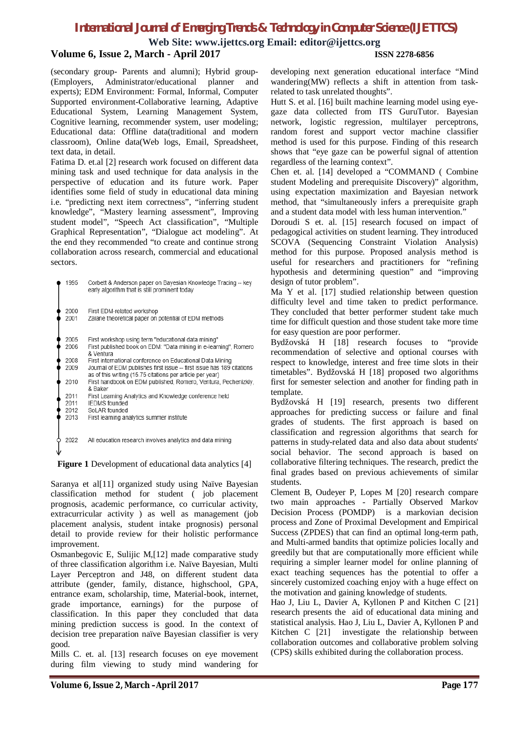**Web Site: www.ijettcs.org Email: editor@ijettcs.org**

#### **Volume 6, Issue 2, March - April 2017 ISSN 2278-6856**

(secondary group- Parents and alumni); Hybrid group- (Employers, Administrator/educational planner and experts); EDM Environment: Formal, Informal, Computer Supported environment-Collaborative learning, Adaptive Educational System, Learning Management System, Cognitive learning, recommender system, user modeling; Educational data: Offline data(traditional and modern classroom), Online data(Web logs, Email, Spreadsheet, text data, in detail.

Fatima D. et.al [2] research work focused on different data mining task and used technique for data analysis in the perspective of education and its future work. Paper identifies some field of study in educational data mining i.e. "predicting next item correctness", "inferring student knowledge", "Mastery learning assessment", Improving student model", "Speech Act classification", "Multiple Graphical Representation", "Dialogue act modeling". At the end they recommended "to create and continue strong collaboration across research, commercial and educational sectors.

| 1995                 | Corbett & Anderson paper on Bayesian Knowledge Tracing -- key<br>early algorithm that is still prominent today                                                                                  |
|----------------------|-------------------------------------------------------------------------------------------------------------------------------------------------------------------------------------------------|
| 2000<br>2001         | First EDM-related workshop<br>Zaiane theoretical paper on potential of EDM methods                                                                                                              |
| 2005<br>2006         | First workshop using term "educational data mining"<br>First published book on EDM: "Data mining in e-learning", Romero<br>& Ventura                                                            |
| 2008<br>2009         | First international conference on Educational Data Mining<br>Journal of EDM publishes first issue -- first issue has 189 citations<br>as of this writing (15.75 citations per article per year) |
| 2010                 | First handbook on EDM published, Romero, Ventura, Pechenizkiy,<br>& Baker                                                                                                                       |
| 2011<br>2011<br>2012 | First Learning Analytics and Knowledge conference held<br><b>IFDMS</b> founded<br>Sol AR founded                                                                                                |
| 2013                 | First learning analytics summer institute                                                                                                                                                       |
| 2022                 | All education research involves analytics and data mining                                                                                                                                       |

**Figure 1** Development of educational data analytics [4]

Saranya et al<sup>[11]</sup> organized study using Naïve Bayesian classification method for student ( job placement prognosis, academic performance, co curricular activity, extracurricular activity ) as well as management (job placement analysis, student intake prognosis) personal detail to provide review for their holistic performance improvement.

Osmanbegovic E, Sulijic M,[12] made comparative study of three classification algorithm i.e. Naïve Bayesian, Multi Layer Perceptron and J48, on different student data attribute (gender, family, distance, highschool, GPA, entrance exam, scholarship, time, Material-book, internet, grade importance, earnings) for the purpose of classification. In this paper they concluded that data mining prediction success is good. In the context of decision tree preparation naïve Bayesian classifier is very good.

Mills C. et. al. [13] research focuses on eye movement during film viewing to study mind wandering for

developing next generation educational interface "Mind wandering(MW) reflects a shift in attention from taskrelated to task unrelated thoughts".

Hutt S. et al. [16] built machine learning model using eyegaze data collected from ITS GuruTutor. Bayesian network, logistic regression, multilayer perceptrons, random forest and support vector machine classifier method is used for this purpose. Finding of this research shows that "eye gaze can be powerful signal of attention regardless of the learning context".

Chen et. al. [14] developed a "COMMAND ( Combine student Modeling and prerequisite Discovery)" algorithm, using expectation maximization and Bayesian network method, that "simultaneously infers a prerequisite graph and a student data model with less human intervention."

Doroudi S et. al. [15] research focused on impact of pedagogical activities on student learning. They introduced SCOVA (Sequencing Constraint Violation Analysis) method for this purpose. Proposed analysis method is useful for researchers and practitioners for "refining hypothesis and determining question" and "improving design of tutor problem".

Ma Y et al. [17] studied relationship between question difficulty level and time taken to predict performance. They concluded that better performer student take much time for difficult question and those student take more time for easy question are poor performer.

Bydžovská H [18] research focuses to "provide recommendation of selective and optional courses with respect to knowledge, interest and free time slots in their timetables". Bydžovská H [18] proposed two algorithms first for semester selection and another for finding path in template.

Bydžovská H [19] research, presents two different approaches for predicting success or failure and final grades of students. The first approach is based on classification and regression algorithms that search for patterns in study-related data and also data about students' social behavior. The second approach is based on collaborative filtering techniques. The research, predict the final grades based on previous achievements of similar students.

Clement B, Oudeyer P, Lopes M [20] research compare two main approaches - Partially Observed Markov Decision Process (POMDP) is a markovian decision process and Zone of Proximal Development and Empirical Success (ZPDES) that can find an optimal long-term path, and Multi-armed bandits that optimize policies locally and greedily but that are computationally more efficient while requiring a simpler learner model for online planning of exact teaching sequences has the potential to offer a sincerely customized coaching enjoy with a huge effect on the motivation and gaining knowledge of students.

Hao J, Liu L, Davier A, Kyllonen P and Kitchen C [21] research presents the aid of educational data mining and statistical analysis. Hao J, Liu L, Davier A, Kyllonen P and Kitchen C [21] investigate the relationship between collaboration outcomes and collaborative problem solving (CPS) skills exhibited during the collaboration process.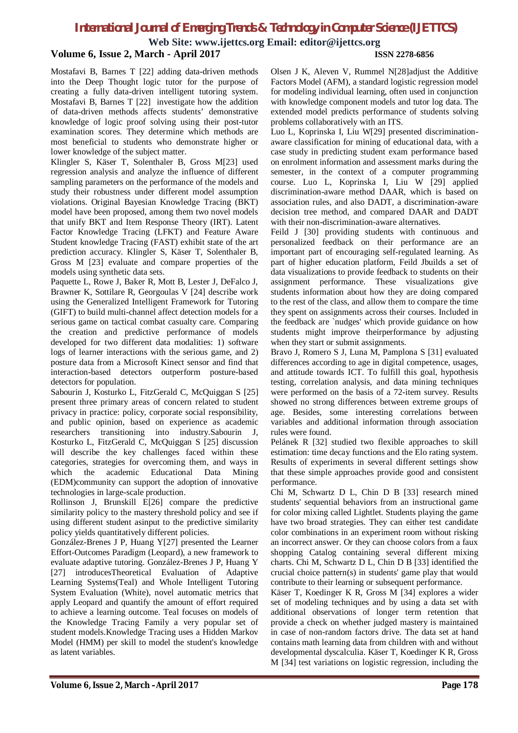**Web Site: www.ijettcs.org Email: editor@ijettcs.org**

### **Volume 6, Issue 2, March - April 2017 ISSN 2278-6856**

Mostafavi B, Barnes T [22] adding data-driven methods into the Deep Thought logic tutor for the purpose of creating a fully data-driven intelligent tutoring system. Mostafavi B, Barnes T [22] investigate how the addition of data-driven methods affects students' demonstrative knowledge of logic proof solving using their post-tutor examination scores. They determine which methods are most beneficial to students who demonstrate higher or lower knowledge of the subject matter.

Klingler S, Käser T, Solenthaler B, Gross M[23] used regression analysis and analyze the influence of different sampling parameters on the performance of the models and study their robustness under different model assumption violations. Original Bayesian Knowledge Tracing (BKT) model have been proposed, among them two novel models that unify BKT and Item Response Theory (IRT). Latent Factor Knowledge Tracing (LFKT) and Feature Aware Student knowledge Tracing (FAST) exhibit state of the art prediction accuracy. Klingler S, Käser T, Solenthaler B, Gross M [23] evaluate and compare properties of the models using synthetic data sets.

Paquette L, Rowe J, Baker R, Mott B, Lester J, DeFalco J, Brawner K, Sottilare R, Georgoulas V [24] describe work using the Generalized Intelligent Framework for Tutoring (GIFT) to build multi-channel affect detection models for a serious game on tactical combat casualty care. Comparing the creation and predictive performance of models developed for two different data modalities: 1) software logs of learner interactions with the serious game, and 2) posture data from a Microsoft Kinect sensor and find that interaction-based detectors outperform posture-based detectors for population.

Sabourin J, Kosturko L, FitzGerald C, McQuiggan S [25] present three primary areas of concern related to student privacy in practice: policy, corporate social responsibility, and public opinion, based on experience as academic researchers transitioning into industry.Sabourin J, Kosturko L, FitzGerald C, McQuiggan S [25] discussion will describe the key challenges faced within these categories, strategies for overcoming them, and ways in which the academic Educational Data Mining (EDM)community can support the adoption of innovative technologies in large-scale production.

Rollinson J, Brunskill E[26] compare the predictive similarity policy to the mastery threshold policy and see if using different student asinput to the predictive similarity policy yields quantitatively different policies.

González-Brenes J P, Huang Y[27] presented the Learner Effort-Outcomes Paradigm (Leopard), a new framework to evaluate adaptive tutoring. González-Brenes J P, Huang Y [27] introducesTheoretical Evaluation of Adaptive Learning Systems(Teal) and Whole Intelligent Tutoring System Evaluation (White), novel automatic metrics that apply Leopard and quantify the amount of effort required to achieve a learning outcome. Teal focuses on models of the Knowledge Tracing Family a very popular set of student models.Knowledge Tracing uses a Hidden Markov Model (HMM) per skill to model the student's knowledge as latent variables.

Olsen J K, Aleven V, Rummel N[28]adjust the Additive Factors Model (AFM), a standard logistic regression model for modeling individual learning, often used in conjunction with knowledge component models and tutor log data. The extended model predicts performance of students solving problems collaboratively with an ITS.

Luo L, Koprinska I, Liu W[29] presented discriminationaware classification for mining of educational data, with a case study in predicting student exam performance based on enrolment information and assessment marks during the semester, in the context of a computer programming course. Luo L, Koprinska I, Liu W [29] applied discrimination-aware method DAAR, which is based on association rules, and also DADT, a discrimination-aware decision tree method, and compared DAAR and DADT with their non-discrimination-aware alternatives.

Feild J [30] providing students with continuous and personalized feedback on their performance are an important part of encouraging self-regulated learning. As part of higher education platform, Feild Jbuilds a set of data visualizations to provide feedback to students on their assignment performance. These visualizations give students information about how they are doing compared to the rest of the class, and allow them to compare the time they spent on assignments across their courses. Included in the feedback are `nudges' which provide guidance on how students might improve theirperformance by adjusting when they start or submit assignments.

Bravo J, Romero S J, Luna M, Pamplona S [31] evaluated differences according to age in digital competence, usages, and attitude towards ICT. To fulfill this goal, hypothesis testing, correlation analysis, and data mining techniques were performed on the basis of a 72-item survey. Results showed no strong differences between extreme groups of age. Besides, some interesting correlations between variables and additional information through association rules were found.

Pelánek R [32] studied two flexible approaches to skill estimation: time decay functions and the Elo rating system. Results of experiments in several different settings show that these simple approaches provide good and consistent performance.

Chi M, Schwartz D L, Chin D B [33] research mined students' sequential behaviors from an instructional game for color mixing called Lightlet. Students playing the game have two broad strategies. They can either test candidate color combinations in an experiment room without risking an incorrect answer. Or they can choose colors from a faux shopping Catalog containing several different mixing charts. Chi M, Schwartz D L, Chin D B [33] identified the crucial choice pattern(s) in students' game play that would contribute to their learning or subsequent performance.

Käser T, Koedinger K R, Gross M [34] explores a wider set of modeling techniques and by using a data set with additional observations of longer term retention that provide a check on whether judged mastery is maintained in case of non-random factors drive. The data set at hand contains math learning data from children with and without developmental dyscalculia. Käser T, Koedinger K R, Gross M [34] test variations on logistic regression, including the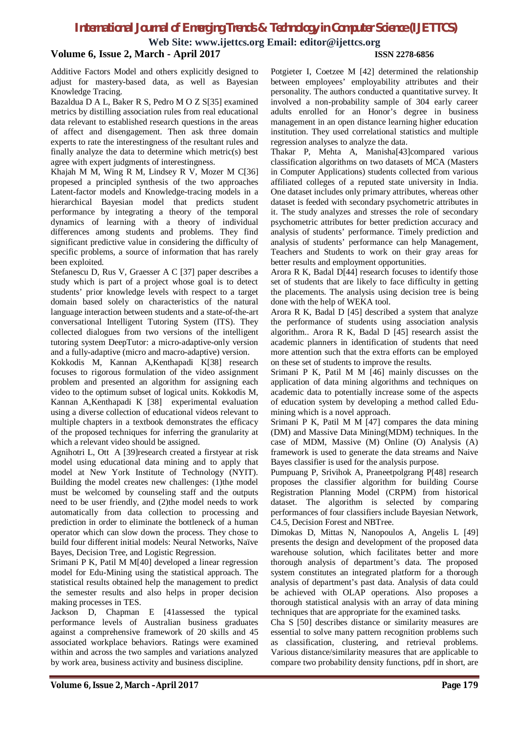**Web Site: www.ijettcs.org Email: editor@ijettcs.org**

### **Volume 6, Issue 2, March - April 2017 ISSN 2278-6856**

Additive Factors Model and others explicitly designed to adjust for mastery-based data, as well as Bayesian Knowledge Tracing.

Bazaldua D A L, Baker R S, Pedro M O Z S[35] examined metrics by distilling association rules from real educational data relevant to established research questions in the areas of affect and disengagement. Then ask three domain experts to rate the interestingness of the resultant rules and finally analyze the data to determine which metric(s) best agree with expert judgments of interestingness.

Khajah M M, Wing R M, Lindsey R V, Mozer M C[36] propesed a principled synthesis of the two approaches Latent-factor models and Knowledge-tracing models in a hierarchical Bayesian model that predicts student performance by integrating a theory of the temporal dynamics of learning with a theory of individual differences among students and problems. They find significant predictive value in considering the difficulty of specific problems, a source of information that has rarely been exploited.

Stefanescu D, Rus V, Graesser A C [37] paper describes a study which is part of a project whose goal is to detect students' prior knowledge levels with respect to a target domain based solely on characteristics of the natural language interaction between students and a state-of-the-art conversational Intelligent Tutoring System (ITS). They collected dialogues from two versions of the intelligent tutoring system DeepTutor: a micro-adaptive-only version and a fully-adaptive (micro and macro-adaptive) version.

Kokkodis M, Kannan A,Kenthapadi K[38] research focuses to rigorous formulation of the video assignment problem and presented an algorithm for assigning each video to the optimum subset of logical units. Kokkodis M, Kannan A,Kenthapadi K [38] experimental evaluation using a diverse collection of educational videos relevant to multiple chapters in a textbook demonstrates the efficacy of the proposed techniques for inferring the granularity at which a relevant video should be assigned.

Agnihotri L, Ott A [39]research created a firstyear at risk model using educational data mining and to apply that model at New York Institute of Technology (NYIT). Building the model creates new challenges: (1)the model must be welcomed by counseling staff and the outputs need to be user friendly, and (2)the model needs to work automatically from data collection to processing and prediction in order to eliminate the bottleneck of a human operator which can slow down the process. They chose to build four different initial models: Neural Networks, Naïve Bayes, Decision Tree, and Logistic Regression.

Srimani P K, Patil M M[40] developed a linear regression model for Edu-Mining using the statistical approach. The statistical results obtained help the management to predict the semester results and also helps in proper decision making processes in TES.

Jackson D, Chapman E [41assessed the typical performance levels of Australian business graduates against a comprehensive framework of 20 skills and 45 associated workplace behaviors. Ratings were examined within and across the two samples and variations analyzed by work area, business activity and business discipline.

Potgieter I, Coetzee M [42] determined the relationship between employees' employability attributes and their personality. The authors conducted a quantitative survey. It involved a non-probability sample of 304 early career adults enrolled for an Honor's degree in business management in an open distance learning higher education institution. They used correlational statistics and multiple regression analyses to analyze the data.

Thakar P, Mehta A, Manisha[43]compared various classification algorithms on two datasets of MCA (Masters in Computer Applications) students collected from various affiliated colleges of a reputed state university in India. One dataset includes only primary attributes, whereas other dataset is feeded with secondary psychometric attributes in it. The study analyzes and stresses the role of secondary psychometric attributes for better prediction accuracy and analysis of students' performance. Timely prediction and analysis of students' performance can help Management, Teachers and Students to work on their gray areas for better results and employment opportunities.

Arora R K, Badal D[44] research focuses to identify those set of students that are likely to face difficulty in getting the placements. The analysis using decision tree is being done with the help of WEKA tool.

Arora R K, Badal D [45] described a system that analyze the performance of students using association analysis algorithm.. Arora R K, Badal D [45] research assist the academic planners in identification of students that need more attention such that the extra efforts can be employed on these set of students to improve the results.

Srimani P K, Patil M M [46] mainly discusses on the application of data mining algorithms and techniques on academic data to potentially increase some of the aspects of education system by developing a method called Edumining which is a novel approach.

Srimani P K, Patil M M [47] compares the data mining (DM) and Massive Data Mining(MDM) techniques. In the case of MDM, Massive (M) Online (O) Analysis (A) framework is used to generate the data streams and Naive Bayes classifier is used for the analysis purpose.

Pumpuang P, Srivihok A, Praneetpolgrang P[48] research proposes the classifier algorithm for building Course Registration Planning Model (CRPM) from historical dataset. The algorithm is selected by comparing performances of four classifiers include Bayesian Network, C4.5, Decision Forest and NBTree.

Dimokas D, Mittas N, Nanopoulos A, Angelis L [49] presents the design and development of the proposed data warehouse solution, which facilitates better and more thorough analysis of department's data. The proposed system constitutes an integrated platform for a thorough analysis of department's past data. Analysis of data could be achieved with OLAP operations. Also proposes a thorough statistical analysis with an array of data mining techniques that are appropriate for the examined tasks.

Cha S [50] describes distance or similarity measures are essential to solve many pattern recognition problems such as classification, clustering, and retrieval problems. Various distance/similarity measures that are applicable to compare two probability density functions, pdf in short, are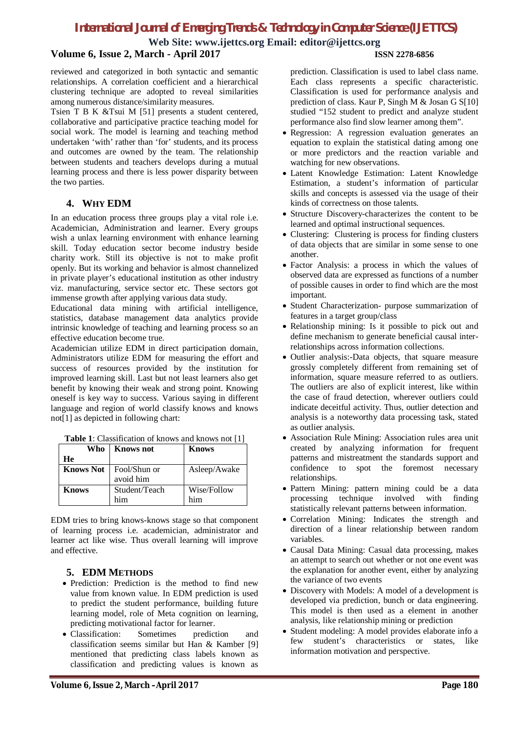**Web Site: www.ijettcs.org Email: editor@ijettcs.org**

#### **Volume 6, Issue 2, March - April 2017 ISSN 2278-6856**

reviewed and categorized in both syntactic and semantic relationships. A correlation coefficient and a hierarchical clustering technique are adopted to reveal similarities among numerous distance/similarity measures.

Tsien T B K &Tsui M [51] presents a student centered, collaborative and participative practice teaching model for social work. The model is learning and teaching method undertaken 'with' rather than 'for' students, and its process and outcomes are owned by the team. The relationship between students and teachers develops during a mutual learning process and there is less power disparity between the two parties.

### **4. WHY EDM**

In an education process three groups play a vital role i.e. Academician, Administration and learner. Every groups wish a unlax learning environment with enhance learning skill. Today education sector become industry beside charity work. Still its objective is not to make profit openly. But its working and behavior is almost channelized in private player's educational institution as other industry viz. manufacturing, service sector etc. These sectors got immense growth after applying various data study.

Educational data mining with artificial intelligence, statistics, database management data analytics provide intrinsic knowledge of teaching and learning process so an effective education become true.

Academician utilize EDM in direct participation domain, Administrators utilize EDM for measuring the effort and success of resources provided by the institution for improved learning skill. Last but not least learners also get benefit by knowing their weak and strong point. Knowing oneself is key way to success. Various saying in different language and region of world classify knows and knows not[1] as depicted in following chart:

| Who              | <b>Knows</b> not          | <b>Knows</b> |
|------------------|---------------------------|--------------|
| He               |                           |              |
| <b>Knows Not</b> | Fool/Shun or<br>avoid him | Asleep/Awake |
| <b>Knows</b>     | Student/Teach             | Wise/Follow  |
|                  | him                       | him          |

**Table 1**: Classification of knows and knows not [1]

EDM tries to bring knows-knows stage so that component of learning process i.e. academician, administrator and learner act like wise. Thus overall learning will improve and effective.

# **5. EDM METHODS**

- Prediction: Prediction is the method to find new value from known value. In EDM prediction is used to predict the student performance, building future learning model, role of Meta cognition on learning, predicting motivational factor for learner.
- Classification: Sometimes prediction and classification seems similar but Han & Kamber [9] mentioned that predicting class labels known as classification and predicting values is known as

prediction. Classification is used to label class name. Each class represents a specific characteristic. Classification is used for performance analysis and prediction of class. Kaur P, Singh M & Josan G S[10] studied "152 student to predict and analyze student performance also find slow learner among them".

- Regression: A regression evaluation generates an equation to explain the statistical dating among one or more predictors and the reaction variable and watching for new observations.
- Latent Knowledge Estimation: Latent Knowledge Estimation, a student's information of particular skills and concepts is assessed via the usage of their kinds of correctness on those talents.
- Structure Discovery-characterizes the content to be learned and optimal instructional sequences.
- Clustering: Clustering is process for finding clusters of data objects that are similar in some sense to one another.
- Factor Analysis: a process in which the values of observed data are expressed as functions of a number of possible causes in order to find which are the most important.
- Student Characterization- purpose summarization of features in a target group/class
- Relationship mining: Is it possible to pick out and define mechanism to generate beneficial causal interrelationships across information collections.
- Outlier analysis:-Data objects, that square measure grossly completely different from remaining set of information, square measure referred to as outliers. The outliers are also of explicit interest, like within the case of fraud detection, wherever outliers could indicate deceitful activity. Thus, outlier detection and analysis is a noteworthy data processing task, stated as outlier analysis.
- Association Rule Mining: Association rules area unit created by analyzing information for frequent patterns and mistreatment the standards support and confidence to spot the foremost necessary relationships.
- Pattern Mining: pattern mining could be a data processing technique involved with finding statistically relevant patterns between information.
- Correlation Mining: Indicates the strength and direction of a linear relationship between random variables.
- Causal Data Mining: Casual data processing, makes an attempt to search out whether or not one event was the explanation for another event, either by analyzing the variance of two events
- Discovery with Models: A model of a development is developed via prediction, bunch or data engineering. This model is then used as a element in another analysis, like relationship mining or prediction
- Student modeling: A model provides elaborate info a few student's characteristics or states, like information motivation and perspective.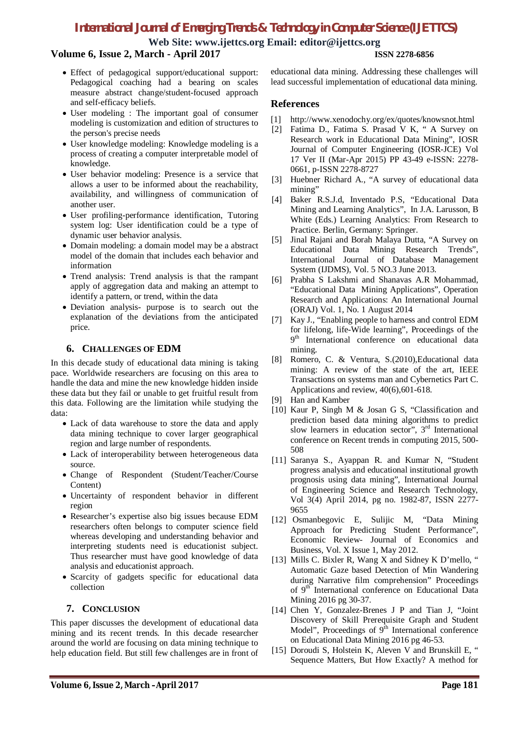**Web Site: www.ijettcs.org Email: editor@ijettcs.org**

## **Volume 6, Issue 2, March - April 2017 ISSN 2278-6856**

- Effect of pedagogical support/educational support: Pedagogical coaching had a bearing on scales measure abstract change/student-focused approach and self-efficacy beliefs.
- User modeling : The important goal of consumer modeling is customization and edition of structures to the person's precise needs
- User knowledge modeling: Knowledge modeling is a process of creating a computer interpretable model of knowledge.
- User behavior modeling: Presence is a service that allows a user to be informed about the reachability, availability, and willingness of communication of another user.
- User profiling-performance identification, Tutoring system log: User identification could be a type of dynamic user behavior analysis.
- Domain modeling: a domain model may be a abstract model of the domain that includes each behavior and information
- Trend analysis: Trend analysis is that the rampant apply of aggregation data and making an attempt to identify a pattern, or trend, within the data
- Deviation analysis- purpose is to search out the explanation of the deviations from the anticipated price.

#### **6. CHALLENGES OF EDM**

In this decade study of educational data mining is taking pace. Worldwide researchers are focusing on this area to handle the data and mine the new knowledge hidden inside these data but they fail or unable to get fruitful result from this data. Following are the limitation while studying the data:

- Lack of data warehouse to store the data and apply data mining technique to cover larger geographical region and large number of respondents.
- Lack of interoperability between heterogeneous data source.
- Change of Respondent (Student/Teacher/Course Content)
- Uncertainty of respondent behavior in different region
- Researcher's expertise also big issues because EDM researchers often belongs to computer science field whereas developing and understanding behavior and interpreting students need is educationist subject. Thus researcher must have good knowledge of data analysis and educationist approach.
- Scarcity of gadgets specific for educational data collection

### **7. CONCLUSION**

This paper discusses the development of educational data mining and its recent trends. In this decade researcher around the world are focusing on data mining technique to help education field. But still few challenges are in front of

educational data mining. Addressing these challenges will lead successful implementation of educational data mining.

#### **References**

- [1] http://www.xenodochy.org/ex/quotes/knowsnot.html
- [2] Fatima D., Fatima S. Prasad V K, " A Survey on Research work in Educational Data Mining", IOSR Journal of Computer Engineering (IOSR-JCE) Vol 17 Ver II (Mar-Apr 2015) PP 43-49 e-ISSN: 2278- 0661, p-ISSN 2278-8727
- [3] Huebner Richard A., "A survey of educational data mining'
- [4] Baker R.S.J.d, Inventado P.S, "Educational Data Mining and Learning Analytics", In J.A. Larusson, B White (Eds.) Learning Analytics: From Research to Practice. Berlin, Germany: Springer.
- [5] Jinal Rajani and Borah Malaya Dutta, "A Survey on Educational Data Mining Research Trends", International Journal of Database Management System (IJDMS), Vol. 5 NO.3 June 2013.
- [6] Prabha S Lakshmi and Shanavas A.R Mohammad, "Educational Data Mining Applications", Operation Research and Applications: An International Journal (ORAJ) Vol. 1, No. 1 August 2014
- [7] Kay J., "Enabling people to harness and control EDM for lifelong, life-Wide learning", Proceedings of the 9<sup>th</sup> International conference on educational data mining.
- [8] Romero, C. & Ventura, S.(2010),Educational data mining: A review of the state of the art, IEEE Transactions on systems man and Cybernetics Part C. Applications and review, 40(6),601-618.
- [9] Han and Kamber
- [10] Kaur P, Singh M & Josan G S, "Classification and prediction based data mining algorithms to predict slow learners in education sector", 3<sup>rd</sup> International conference on Recent trends in computing 2015, 500- 508
- [11] Saranya S., Ayappan R. and Kumar N, "Student progress analysis and educational institutional growth prognosis using data mining", International Journal of Engineering Science and Research Technology, Vol 3(4) April 2014, pg no. 1982-87, ISSN 2277- 9655
- [12] Osmanbegovic E, Sulijic M, "Data Mining Approach for Predicting Student Performance", Economic Review- Journal of Economics and Business, Vol. X Issue 1, May 2012.
- [13] Mills C. Bixler R, Wang X and Sidney K D'mello, " Automatic Gaze based Detection of Min Wandering during Narrative film comprehension" Proceedings of 9<sup>th</sup> International conference on Educational Data Mining 2016 pg 30-37.
- [14] Chen Y, Gonzalez-Brenes J P and Tian J, "Joint Discovery of Skill Prerequisite Graph and Student Model", Proceedings of  $9<sup>th</sup>$  International conference on Educational Data Mining 2016 pg 46-53.
- [15] Doroudi S, Holstein K, Aleven V and Brunskill E, " Sequence Matters, But How Exactly? A method for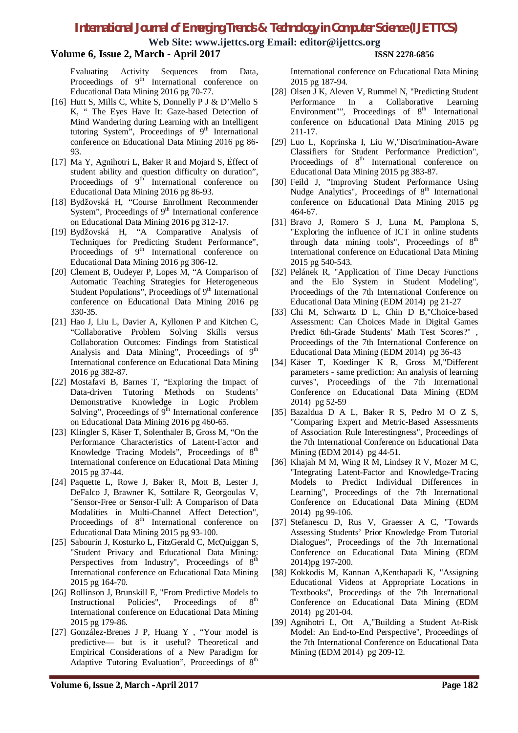**Web Site: www.ijettcs.org Email: editor@ijettcs.org**

#### **Volume 6, Issue 2, March - April 2017 ISSN 2278-6856**

Evaluating Activity Sequences from Data, Proceedings of  $9<sup>th</sup>$  International conference on Educational Data Mining 2016 pg 70-77.

- [16] Hutt S, Mills C, White S, Donnelly P J & D'Mello S K, " The Eyes Have It: Gaze-based Detection of Mind Wandering during Learning with an Intelligent tutoring System", Proceedings of 9<sup>th</sup> International conference on Educational Data Mining 2016 pg 86- 93.
- [17] Ma Y, Agnihotri L, Baker R and Mojard S, Effect of student ability and question difficulty on duration", Proceedings of  $9<sup>th</sup>$  International conference on Educational Data Mining 2016 pg 86-93.
- [18] Bydžovská H, "Course Enrollment Recommender System", Proceedings of  $9<sup>th</sup>$  International conference on Educational Data Mining 2016 pg 312-17.
- [19] Bydžovská H, "A Comparative Analysis of Techniques for Predicting Student Performance", Proceedings of 9<sup>th</sup> International conference on Educational Data Mining 2016 pg 306-12.
- [20] Clement B, Oudeyer P, Lopes M, "A Comparison of Automatic Teaching Strategies for Heterogeneous Student Populations", Proceedings of  $9<sup>th</sup>$  International conference on Educational Data Mining 2016 pg 330-35.
- [21] Hao J, Liu L, Davier A, Kyllonen P and Kitchen C, "Collaborative Problem Solving Skills versus Collaboration Outcomes: Findings from Statistical Analysis and Data Mining", Proceedings of 9<sup>th</sup> International conference on Educational Data Mining 2016 pg 382-87.
- [22] Mostafavi B, Barnes T, "Exploring the Impact of Data-driven Tutoring Methods on Students' Demonstrative Knowledge in Logic Problem Solving", Proceedings of  $9<sup>th</sup>$  International conference on Educational Data Mining 2016 pg 460-65.
- [23] Klingler S, Käser T, Solenthaler B, Gross M, "On the Performance Characteristics of Latent-Factor and Knowledge Tracing Models", Proceedings of  $8<sup>th</sup>$ International conference on Educational Data Mining 2015 pg 37-44.
- [24] Paquette L, Rowe J, Baker R, Mott B, Lester J, DeFalco J, Brawner K, Sottilare R, Georgoulas V, "Sensor-Free or Sensor-Full: A Comparison of Data Modalities in Multi-Channel Affect Detection", Proceedings of 8<sup>th</sup> International conference on Educational Data Mining 2015 pg 93-100.
- [25] Sabourin J, Kosturko L, FitzGerald C, McQuiggan S, "Student Privacy and Educational Data Mining: Perspectives from Industry", Proceedings of  $8^{\text{th}}$ International conference on Educational Data Mining 2015 pg 164-70.
- [26] Rollinson J, Brunskill E, "From Predictive Models to<br>Instructional Policies". Proceedings of  $\mathbf{x}^{\text{th}}$ Instructional Policies", Proceedings of International conference on Educational Data Mining 2015 pg 179-86.
- [27] González-Brenes J P, Huang Y , "Your model is predictive— but is it useful? Theoretical and Empirical Considerations of a New Paradigm for Adaptive Tutoring Evaluation", Proceedings of  $8<sup>th</sup>$

International conference on Educational Data Mining 2015 pg 187-94.

- [28] Olsen J K, Aleven V, Rummel N, "Predicting Student Performance In a Collaborative Learning Environment"", Proceedings of  $8<sup>th</sup>$  International conference on Educational Data Mining 2015 pg 211-17.
- [29] Luo L, Koprinska I, Liu W,"Discrimination-Aware Classifiers for Student Performance Prediction", Proceedings of 8<sup>th</sup> International conference on Educational Data Mining 2015 pg 383-87.
- [30] Feild J, "Improving Student Performance Using Nudge Analytics", Proceedings of 8<sup>th</sup> International conference on Educational Data Mining 2015 pg 464-67.
- [31] Bravo J, Romero S J, Luna M, Pamplona S, "Exploring the influence of ICT in online students through data mining tools", Proceedings of  $8<sup>th</sup>$ International conference on Educational Data Mining 2015 pg 540-543.
- [32] Pelánek R, "Application of Time Decay Functions and the Elo System in Student Modeling", Proceedings of the 7th International Conference on Educational Data Mining (EDM 2014) pg 21-27
- [33] Chi M, Schwartz D L, Chin D B, Choice-based Assessment: Can Choices Made in Digital Games Predict 6th-Grade Students' Math Test Scores?" Proceedings of the 7th International Conference on Educational Data Mining (EDM 2014) pg 36-43
- [34] Käser T, Koedinger K R, Gross M,"Different parameters - same prediction: An analysis of learning curves", Proceedings of the 7th International Conference on Educational Data Mining (EDM 2014) pg 52-59
- [35] Bazaldua D A L, Baker R S, Pedro M O Z S, "Comparing Expert and Metric-Based Assessments of Association Rule Interestingness", Proceedings of the 7th International Conference on Educational Data Mining (EDM 2014) pg 44-51.
- [36] Khajah M M, Wing R M, Lindsey R V, Mozer M C, "Integrating Latent-Factor and Knowledge-Tracing Models to Predict Individual Differences in Learning", Proceedings of the 7th International Conference on Educational Data Mining (EDM 2014) pg 99-106.
- [37] Stefanescu D, Rus V, Graesser A C, "Towards Assessing Students' Prior Knowledge From Tutorial Dialogues", Proceedings of the 7th International Conference on Educational Data Mining (EDM 2014)pg 197-200.
- [38] Kokkodis M, Kannan A,Kenthapadi K, "Assigning Educational Videos at Appropriate Locations in Textbooks", Proceedings of the 7th International Conference on Educational Data Mining (EDM 2014) pg 201-04.
- [39] Agnihotri L, Ott A,"Building a Student At-Risk Model: An End-to-End Perspective", Proceedings of the 7th International Conference on Educational Data Mining (EDM 2014) pg 209-12.